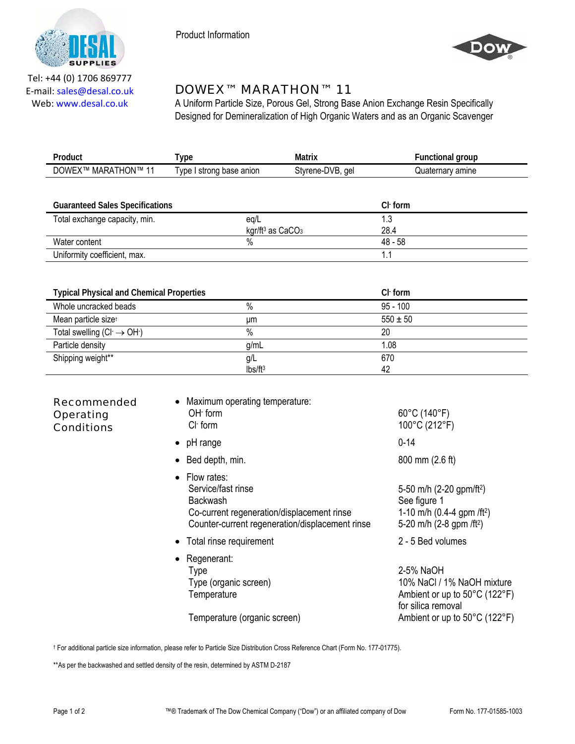

Product Information



Tel: +44 (0) 1706 869777 E‐mail: sales@desal.co.uk Web: www.desal.co.uk

## DOWEX™ MARATHON™ 11

A Uniform Particle Size, Porous Gel, Strong Base Anion Exchange Resin Specifically Designed for Demineralization of High Organic Waters and as an Organic Scavenger

| Product                                         | <b>Type</b>                                 | <b>Matrix</b>                                   | <b>Functional group</b>                |
|-------------------------------------------------|---------------------------------------------|-------------------------------------------------|----------------------------------------|
| DOWEX™ MARATHON™ 11                             | Type I strong base anion                    | Styrene-DVB, gel                                | Quaternary amine                       |
|                                                 |                                             |                                                 |                                        |
| <b>Guaranteed Sales Specifications</b>          |                                             |                                                 | CI-form                                |
| Total exchange capacity, min.                   | eq/L                                        |                                                 | 1.3                                    |
|                                                 | kgr/ft <sup>3</sup> as CaCO <sub>3</sub>    |                                                 | 28.4                                   |
| Water content                                   | $\frac{0}{0}$                               |                                                 | $48 - 58$                              |
| Uniformity coefficient, max.                    |                                             |                                                 | 1.1                                    |
|                                                 |                                             |                                                 |                                        |
|                                                 |                                             |                                                 |                                        |
| <b>Typical Physical and Chemical Properties</b> |                                             |                                                 | CI-form                                |
| Whole uncracked beads                           | $\%$                                        |                                                 | $\overline{95}$ - 100                  |
| Mean particle sizet                             | μm                                          |                                                 | $550 \pm 50$                           |
| Total swelling $(Cl \rightarrow OH)$            | $\frac{1}{2}$                               |                                                 | 20                                     |
| Particle density                                | g/mL                                        |                                                 | 1.08                                   |
| Shipping weight**                               | g/L<br>Ibs/ft <sup>3</sup>                  |                                                 | 670<br>42                              |
|                                                 |                                             |                                                 |                                        |
|                                                 |                                             |                                                 |                                        |
| <b>Recommended</b>                              | Maximum operating temperature:<br>$\bullet$ |                                                 |                                        |
| <b>Operating</b>                                | OH form                                     |                                                 | 60°C (140°F)                           |
| <b>Conditions</b>                               | CI-form                                     |                                                 | 100°C (212°F)                          |
|                                                 | pH range<br>$\bullet$                       |                                                 | $0 - 14$                               |
|                                                 | Bed depth, min.                             |                                                 | 800 mm (2.6 ft)                        |
|                                                 | Flow rates:                                 |                                                 |                                        |
|                                                 | Service/fast rinse                          |                                                 | 5-50 m/h (2-20 gpm/ft <sup>2</sup> )   |
|                                                 | Backwash                                    |                                                 | See figure 1                           |
|                                                 | Co-current regeneration/displacement rinse  |                                                 | 1-10 m/h (0.4-4 gpm /ft <sup>2</sup> ) |
|                                                 |                                             | Counter-current regeneration/displacement rinse | 5-20 m/h (2-8 gpm /ft <sup>2</sup> )   |
|                                                 | • Total rinse requirement                   |                                                 | 2 - 5 Bed volumes                      |
|                                                 | Regenerant:                                 |                                                 |                                        |
|                                                 | $\bullet$<br>Type                           |                                                 | 2-5% NaOH                              |
|                                                 | Type (organic screen)                       |                                                 | 10% NaCl / 1% NaOH mixture             |
|                                                 | Temperature                                 |                                                 | Ambient or up to 50°C (122°F)          |
|                                                 |                                             |                                                 | for silica removal                     |

† For additional particle size information, please refer to Particle Size Distribution Cross Reference Chart (Form No. 177-01775).

Temperature (organic screen)

\*\*As per the backwashed and settled density of the resin, determined by ASTM D-2187

Ambient or up to 50°C (122°F)